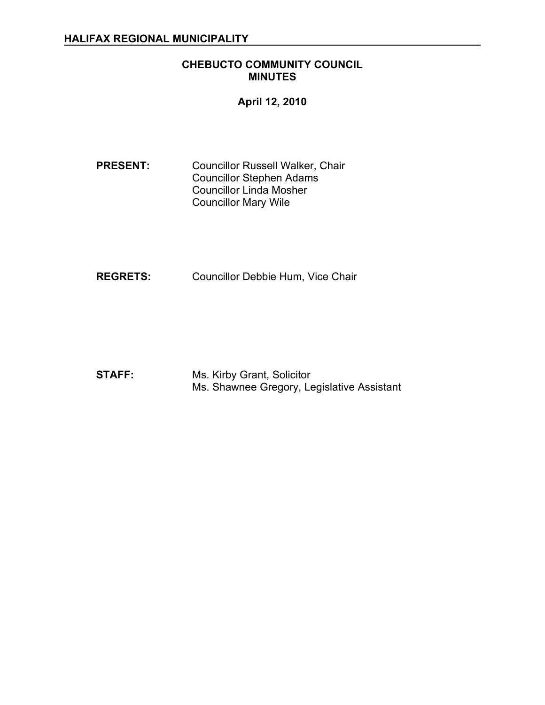### **CHEBUCTO COMMUNITY COUNCIL MINUTES**

**April 12, 2010**

**PRESENT:** Councillor Russell Walker, Chair Councillor Stephen Adams Councillor Linda Mosher Councillor Mary Wile

**REGRETS:** Councillor Debbie Hum, Vice Chair

**STAFF:** Ms. Kirby Grant, Solicitor Ms. Shawnee Gregory, Legislative Assistant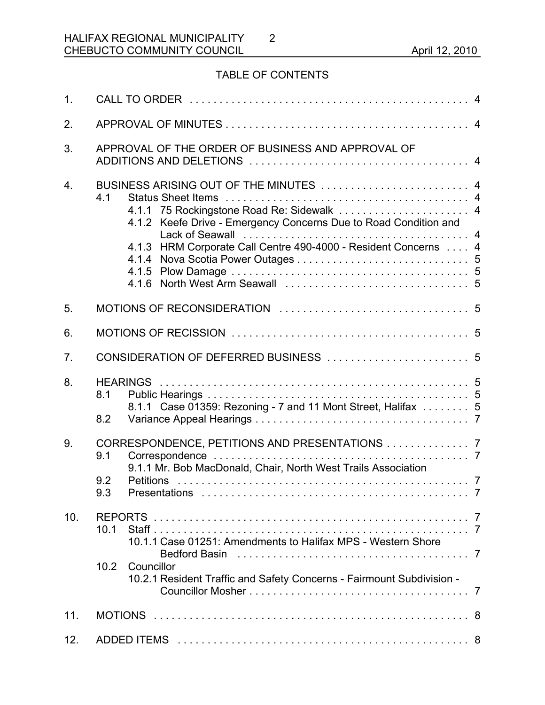# TABLE OF CONTENTS

2

| 1 <sub>1</sub>   |                                                                                                                                                                                                                                   |  |  |  |  |
|------------------|-----------------------------------------------------------------------------------------------------------------------------------------------------------------------------------------------------------------------------------|--|--|--|--|
| 2.               |                                                                                                                                                                                                                                   |  |  |  |  |
| 3.               | APPROVAL OF THE ORDER OF BUSINESS AND APPROVAL OF                                                                                                                                                                                 |  |  |  |  |
| $\overline{4}$ . | BUSINESS ARISING OUT OF THE MINUTES  4<br>4.1<br>4.1.1 75 Rockingstone Road Re: Sidewalk  4<br>4.1.2 Keefe Drive - Emergency Concerns Due to Road Condition and<br>4.1.3 HRM Corporate Call Centre 490-4000 - Resident Concerns 4 |  |  |  |  |
| 5.               |                                                                                                                                                                                                                                   |  |  |  |  |
| 6.               |                                                                                                                                                                                                                                   |  |  |  |  |
| 7.               |                                                                                                                                                                                                                                   |  |  |  |  |
| 8.               | 8.1<br>8.1.1 Case 01359: Rezoning - 7 and 11 Mont Street, Halifax  5<br>8.2                                                                                                                                                       |  |  |  |  |
| 9.               | CORRESPONDENCE, PETITIONS AND PRESENTATIONS  7<br>9.1<br>9.1.1 Mr. Bob MacDonald, Chair, North West Trails Association<br>9.2<br>9.3                                                                                              |  |  |  |  |
| 10.              | 10.1<br>10.1.1 Case 01251: Amendments to Halifax MPS - Western Shore<br>10.2<br>Councillor<br>10.2.1 Resident Traffic and Safety Concerns - Fairmount Subdivision -                                                               |  |  |  |  |
| 11.              |                                                                                                                                                                                                                                   |  |  |  |  |
| 12.              |                                                                                                                                                                                                                                   |  |  |  |  |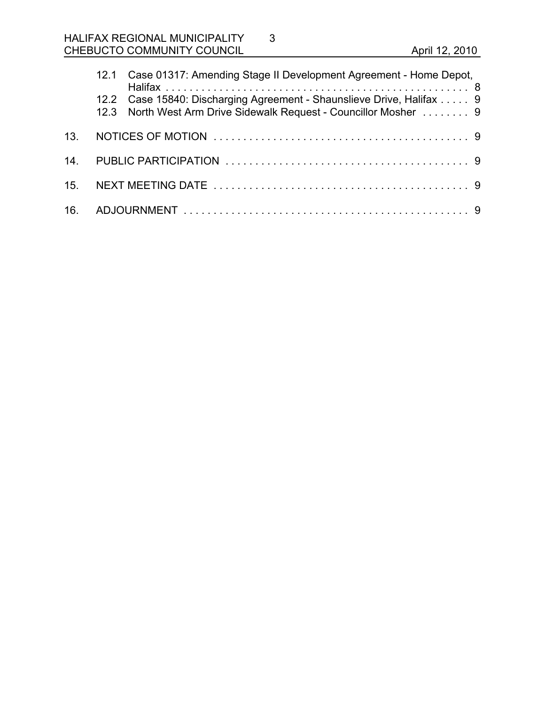# HALIFAX REGIONAL MUNICIPALITY CHEBUCTO COMMUNITY COUNCIL **COUNCIL April 12, 2010**

|  | 12.1 Case 01317: Amending Stage II Development Agreement - Home Depot,                                                                      |  |
|--|---------------------------------------------------------------------------------------------------------------------------------------------|--|
|  | 12.2 Case 15840: Discharging Agreement - Shaunslieve Drive, Halifax  9<br>12.3 North West Arm Drive Sidewalk Request - Councillor Mosher  9 |  |
|  |                                                                                                                                             |  |
|  |                                                                                                                                             |  |
|  |                                                                                                                                             |  |
|  |                                                                                                                                             |  |

3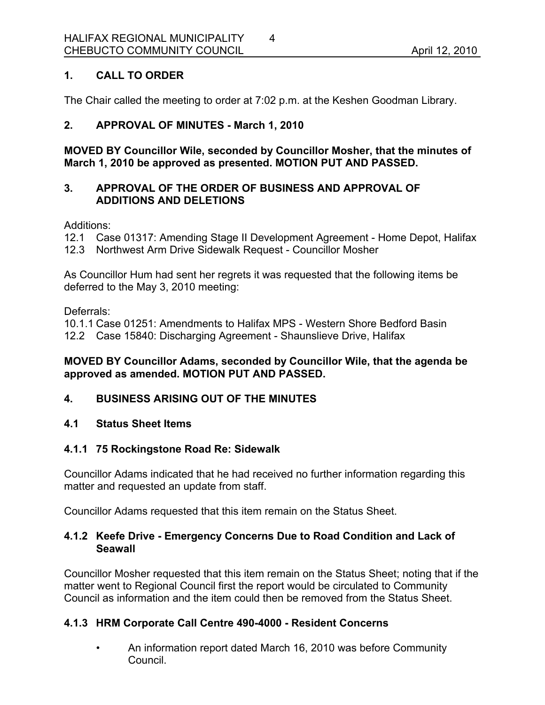# **1. CALL TO ORDER**

The Chair called the meeting to order at 7:02 p.m. at the Keshen Goodman Library.

# **2. APPROVAL OF MINUTES - March 1, 2010**

**MOVED BY Councillor Wile, seconded by Councillor Mosher, that the minutes of March 1, 2010 be approved as presented. MOTION PUT AND PASSED.**

### **3. APPROVAL OF THE ORDER OF BUSINESS AND APPROVAL OF ADDITIONS AND DELETIONS**

Additions:

12.1 Case 01317: Amending Stage II Development Agreement - Home Depot, Halifax

12.3 Northwest Arm Drive Sidewalk Request - Councillor Mosher

As Councillor Hum had sent her regrets it was requested that the following items be deferred to the May 3, 2010 meeting:

Deferrals:

10.1.1 Case 01251: Amendments to Halifax MPS - Western Shore Bedford Basin 12.2 Case 15840: Discharging Agreement - Shaunslieve Drive, Halifax

### **MOVED BY Councillor Adams, seconded by Councillor Wile, that the agenda be approved as amended. MOTION PUT AND PASSED.**

# **4. BUSINESS ARISING OUT OF THE MINUTES**

# **4.1 Status Sheet Items**

# **4.1.1 75 Rockingstone Road Re: Sidewalk**

Councillor Adams indicated that he had received no further information regarding this matter and requested an update from staff.

Councillor Adams requested that this item remain on the Status Sheet.

### **4.1.2 Keefe Drive - Emergency Concerns Due to Road Condition and Lack of Seawall**

Councillor Mosher requested that this item remain on the Status Sheet; noting that if the matter went to Regional Council first the report would be circulated to Community Council as information and the item could then be removed from the Status Sheet.

# **4.1.3 HRM Corporate Call Centre 490-4000 - Resident Concerns**

• An information report dated March 16, 2010 was before Community Council.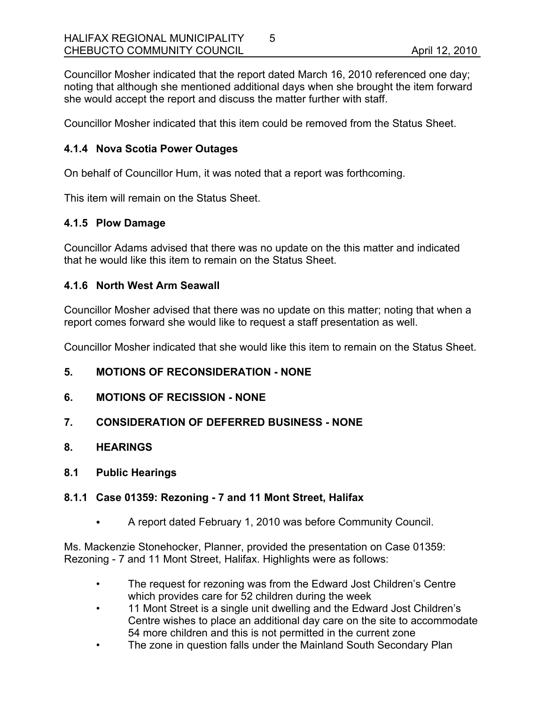Councillor Mosher indicated that the report dated March 16, 2010 referenced one day; noting that although she mentioned additional days when she brought the item forward she would accept the report and discuss the matter further with staff.

Councillor Mosher indicated that this item could be removed from the Status Sheet.

### **4.1.4 Nova Scotia Power Outages**

On behalf of Councillor Hum, it was noted that a report was forthcoming.

This item will remain on the Status Sheet.

### **4.1.5 Plow Damage**

Councillor Adams advised that there was no update on the this matter and indicated that he would like this item to remain on the Status Sheet.

### **4.1.6 North West Arm Seawall**

Councillor Mosher advised that there was no update on this matter; noting that when a report comes forward she would like to request a staff presentation as well.

Councillor Mosher indicated that she would like this item to remain on the Status Sheet.

### **5. MOTIONS OF RECONSIDERATION - NONE**

- **6. MOTIONS OF RECISSION NONE**
- **7. CONSIDERATION OF DEFERRED BUSINESS NONE**
- **8. HEARINGS**
- **8.1 Public Hearings**

#### **8.1.1 Case 01359: Rezoning - 7 and 11 Mont Street, Halifax**

• A report dated February 1, 2010 was before Community Council.

Ms. Mackenzie Stonehocker, Planner, provided the presentation on Case 01359: Rezoning - 7 and 11 Mont Street, Halifax. Highlights were as follows:

- The request for rezoning was from the Edward Jost Children's Centre which provides care for 52 children during the week
- 11 Mont Street is a single unit dwelling and the Edward Jost Children's Centre wishes to place an additional day care on the site to accommodate 54 more children and this is not permitted in the current zone
- The zone in question falls under the Mainland South Secondary Plan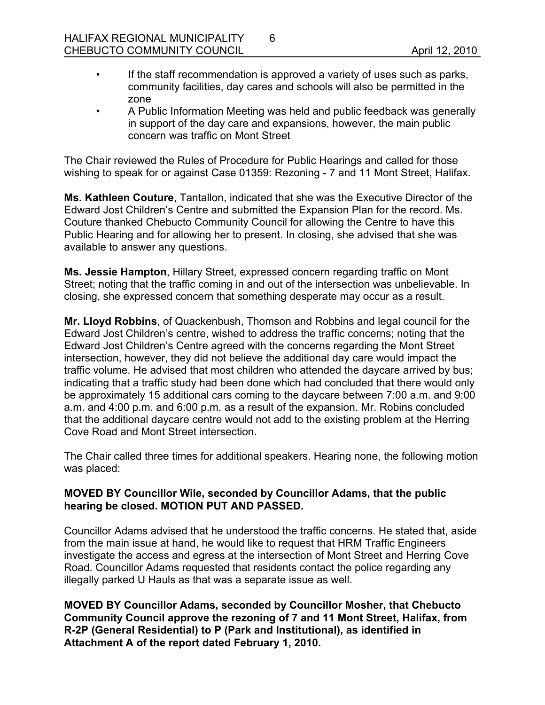- If the staff recommendation is approved a variety of uses such as parks, community facilities, day cares and schools will also be permitted in the zone
- A Public Information Meeting was held and public feedback was generally in support of the day care and expansions, however, the main public concern was traffic on Mont Street

The Chair reviewed the Rules of Procedure for Public Hearings and called for those wishing to speak for or against Case 01359: Rezoning - 7 and 11 Mont Street, Halifax.

**Ms. Kathleen Couture**, Tantallon, indicated that she was the Executive Director of the Edward Jost Children's Centre and submitted the Expansion Plan for the record. Ms. Couture thanked Chebucto Community Council for allowing the Centre to have this Public Hearing and for allowing her to present. In closing, she advised that she was available to answer any questions.

**Ms. Jessie Hampton**, Hillary Street, expressed concern regarding traffic on Mont Street; noting that the traffic coming in and out of the intersection was unbelievable. In closing, she expressed concern that something desperate may occur as a result.

**Mr. Lloyd Robbins**, of Quackenbush, Thomson and Robbins and legal council for the Edward Jost Children's centre, wished to address the traffic concerns; noting that the Edward Jost Children's Centre agreed with the concerns regarding the Mont Street intersection, however, they did not believe the additional day care would impact the traffic volume. He advised that most children who attended the daycare arrived by bus; indicating that a traffic study had been done which had concluded that there would only be approximately 15 additional cars coming to the daycare between 7:00 a.m. and 9:00 a.m. and 4:00 p.m. and 6:00 p.m. as a result of the expansion. Mr. Robins concluded that the additional daycare centre would not add to the existing problem at the Herring Cove Road and Mont Street intersection.

The Chair called three times for additional speakers. Hearing none, the following motion was placed:

### **MOVED BY Councillor Wile, seconded by Councillor Adams, that the public hearing be closed. MOTION PUT AND PASSED.**

Councillor Adams advised that he understood the traffic concerns. He stated that, aside from the main issue at hand, he would like to request that HRM Traffic Engineers investigate the access and egress at the intersection of Mont Street and Herring Cove Road. Councillor Adams requested that residents contact the police regarding any illegally parked U Hauls as that was a separate issue as well.

**MOVED BY Councillor Adams, seconded by Councillor Mosher, that Chebucto Community Council approve the rezoning of 7 and 11 Mont Street, Halifax, from R-2P (General Residential) to P (Park and Institutional), as identified in Attachment A of the report dated February 1, 2010.**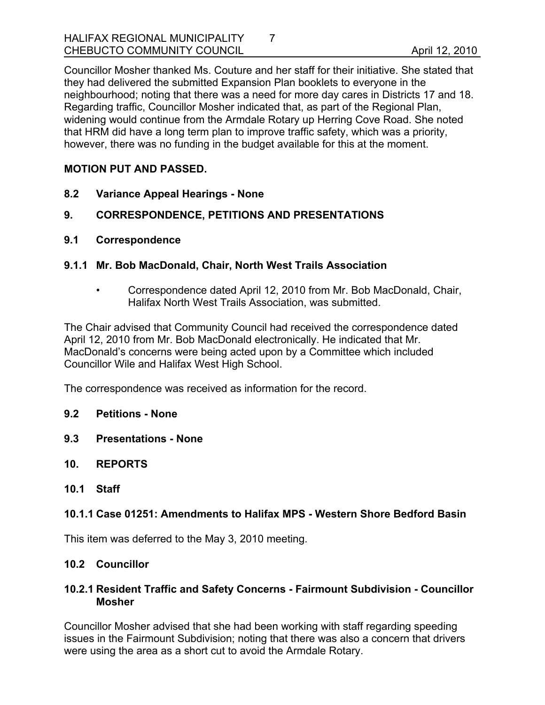Councillor Mosher thanked Ms. Couture and her staff for their initiative. She stated that they had delivered the submitted Expansion Plan booklets to everyone in the neighbourhood; noting that there was a need for more day cares in Districts 17 and 18. Regarding traffic, Councillor Mosher indicated that, as part of the Regional Plan, widening would continue from the Armdale Rotary up Herring Cove Road. She noted that HRM did have a long term plan to improve traffic safety, which was a priority, however, there was no funding in the budget available for this at the moment.

# **MOTION PUT AND PASSED.**

- **8.2 Variance Appeal Hearings None**
- **9. CORRESPONDENCE, PETITIONS AND PRESENTATIONS**
- **9.1 Correspondence**

### **9.1.1 Mr. Bob MacDonald, Chair, North West Trails Association**

• Correspondence dated April 12, 2010 from Mr. Bob MacDonald, Chair, Halifax North West Trails Association, was submitted.

The Chair advised that Community Council had received the correspondence dated April 12, 2010 from Mr. Bob MacDonald electronically. He indicated that Mr. MacDonald's concerns were being acted upon by a Committee which included Councillor Wile and Halifax West High School.

The correspondence was received as information for the record.

- **9.2 Petitions None**
- **9.3 Presentations None**
- **10. REPORTS**
- **10.1 Staff**

### **10.1.1 Case 01251: Amendments to Halifax MPS - Western Shore Bedford Basin**

This item was deferred to the May 3, 2010 meeting.

### **10.2 Councillor**

### **10.2.1 Resident Traffic and Safety Concerns - Fairmount Subdivision - Councillor Mosher**

Councillor Mosher advised that she had been working with staff regarding speeding issues in the Fairmount Subdivision; noting that there was also a concern that drivers were using the area as a short cut to avoid the Armdale Rotary.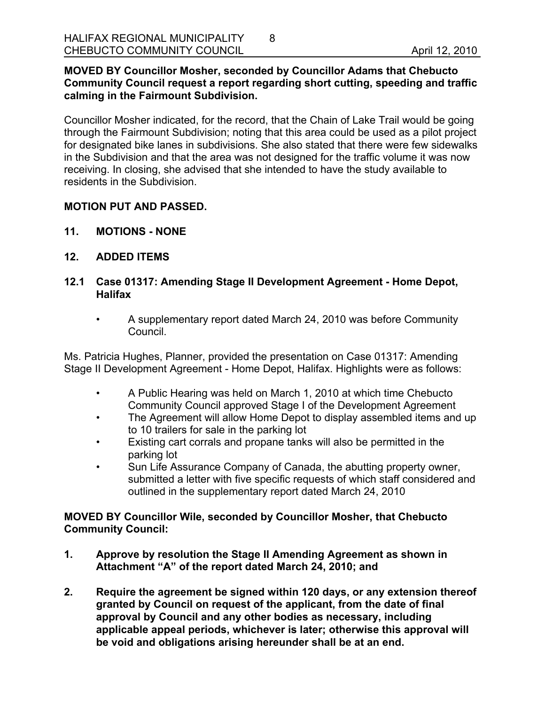#### **MOVED BY Councillor Mosher, seconded by Councillor Adams that Chebucto Community Council request a report regarding short cutting, speeding and traffic calming in the Fairmount Subdivision.**

8

Councillor Mosher indicated, for the record, that the Chain of Lake Trail would be going through the Fairmount Subdivision; noting that this area could be used as a pilot project for designated bike lanes in subdivisions. She also stated that there were few sidewalks in the Subdivision and that the area was not designed for the traffic volume it was now receiving. In closing, she advised that she intended to have the study available to residents in the Subdivision.

### **MOTION PUT AND PASSED.**

- **11. MOTIONS NONE**
- **12. ADDED ITEMS**

### **12.1 Case 01317: Amending Stage II Development Agreement - Home Depot, Halifax**

• A supplementary report dated March 24, 2010 was before Community Council.

Ms. Patricia Hughes, Planner, provided the presentation on Case 01317: Amending Stage II Development Agreement - Home Depot, Halifax. Highlights were as follows:

- A Public Hearing was held on March 1, 2010 at which time Chebucto Community Council approved Stage I of the Development Agreement
- The Agreement will allow Home Depot to display assembled items and up to 10 trailers for sale in the parking lot
- Existing cart corrals and propane tanks will also be permitted in the parking lot
- Sun Life Assurance Company of Canada, the abutting property owner, submitted a letter with five specific requests of which staff considered and outlined in the supplementary report dated March 24, 2010

# **MOVED BY Councillor Wile, seconded by Councillor Mosher, that Chebucto Community Council:**

- **1. Approve by resolution the Stage II Amending Agreement as shown in Attachment "A" of the report dated March 24, 2010; and**
- **2. Require the agreement be signed within 120 days, or any extension thereof granted by Council on request of the applicant, from the date of final approval by Council and any other bodies as necessary, including applicable appeal periods, whichever is later; otherwise this approval will be void and obligations arising hereunder shall be at an end.**